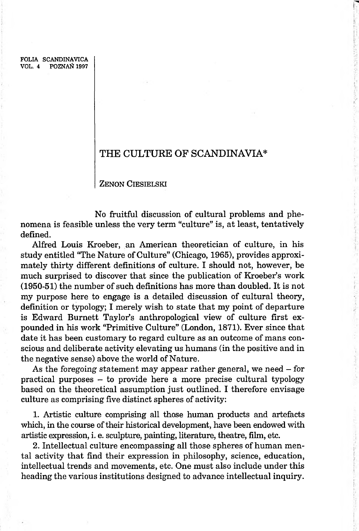FOLIA SCANDINAVICA VOL. 4 POZNAŃ 1997

# **THE CULTURE OF SCANDINAVIA\***

ZENON CIESIELSKI

No fruitful discussion of cultural problems and phenomena is feasible unless the very term "culture" is, at least, tentatively defined.

Alfred Louis Kroeber, an American theoretician of culture, in his study entitled "The Nature of Culture" (Chicago, 1965), provides approximately thirty different definitions of culture. I should not, however, be much surprised to discover that since the publication of Kroeber's work (1950-51) the number of such definitions has more than doubled. It is not my purpose here to engage is a detailed discussion of cultural theory, definition or typology; I merely wish to state that my point of departure is Edward Burnett Taylor's anthropological view of culture first expounded in his work "Primitive Culture" (London, 1871). Ever since that date it has been customary to regard culture as an outcome of mans conscious and deliberate activity elevating us humans (in the positive and in the negative sense) above the world of Nature.

As the foregoing statement may appear rather general, we need  $-$  for practical purposes - to provide here a more precise cultural typology based on the theoretical assumption just outlined. I therefore envisage culture as comprising five distinct spheres of activity:

1. Artistic culture comprising all those human products and artefacts which, in the course of their historical development, have been endowed with artistic expression, i. e. sculpture, painting, literature, theatre, film, etc.

2. Intellectual culture encompassing all those spheres of human mental activity that find their expression in philosophy, science, education, intellectual trends and movements, etc. One must also include under this heading the various institutions designed to advance intellectual inquiry.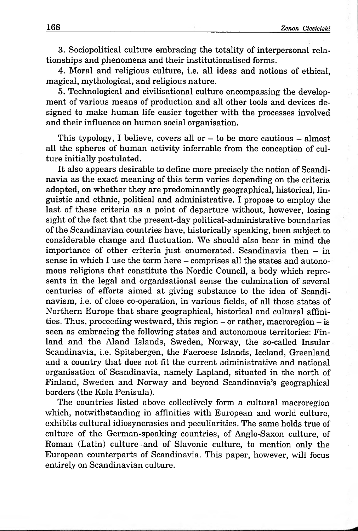3. Sociopolitical culture embracing the totality of interpersonal relationships and phenomena and their institutionalised forms.

4. Moral and religious culture, i.e. all ideas and notions of ethical, magical, mythological, and religious nature.

5. Technological and civilisational culture encompassing the development of various means of production and all other tools and devices designed to make human life easier together with the processes involved and their influence on human social organisation.

This typology, I believe, covers all or  $-$  to be more cautious  $-$  almost all the spheres of human activity inferrable from the conception of culture initially postulated.

It also appears desirable to define more precisely the notion of Scandinavia as the exact meaning of this term varies depending on the criteria adopted, on whether they are predominantly geographical, historical, linguistic and ethnic, political and administrative. I propose to employ the last of these criteria as a point of departure without, however, losing sight of the fact that the present-day political-administrative boundaries of the Scandinavian countries have, historically speaking, been subject to considerable change and fluctuation. We should also bear in mind the importance of other criteria just enumerated. Scandinavia then  $-$  in sense in which I use the term here – comprises all the states and autonomous religions that constitute the Nordic Council, a body which represents in the legal and organisational sense the culmination of several centuries of efforts aimed at giving substance to the idea of Scandinavism, i.e. of close co-operation, in various fields, of all those states of Northern Europe that share geographical, historical and cultural affinities. Thus, proceeding westward, this region - or rather, macroregion - is seen as embracing the following states and autonomous territories: Finland and the Aland Islands, Sweden, Norway, the so-called Insular Scandinavia, i.e. Spitsbergen, the Faeroese Islands, Iceland, Greenland and a country that does not fit the current administrative and national organisation of Scandinavia, namely Lapland, situated in the north of Finland, Sweden and Norway and beyond Scandinavia's geographical borders (the Kola Penisula).

The countries listed above collectively form a cultural macroregion which, notwithstanding in affinities with European and world culture, exhibits cultural idiosyncrasies and peculiarities. The same holds true of culture of the German-speaking countries, of Anglo-Saxon culture, of Roman (Latin) culture and of Slavonic culture, to mention only the European counterparts of Scandinavia. This paper, however, will focus entirely on Scandinavian culture.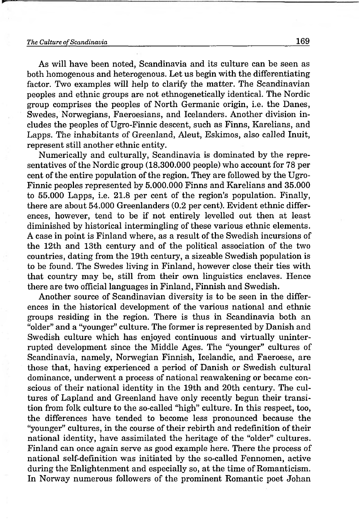As will have been noted, Scandinavia and its culture can be seen as both homogenous and heterogenous. Let us begin with the differentiating factor. Two examples will help to clarify the matter. The Scandinavian peoples and ethnic groups are not ethnogenetically identical. The Nordic group comprises the peoples of North Germanic origin, i.e. the Danes, Swedes, Norwegians, Faeroesians, and Icelanders. Another division includes the peoples of Ugro-Finnic descent, such as Finns, Karelians, and Lapps. The inhabitants of Greenland, Aleut, Eskimos, also called Inuit, represent still another ethnic entity.

Numerically and culturally, Scandinavia is dominated by the representatives of the Nordic group (18.300.000 people) who account for 78 per cent of the entire population of the region. They are followed by the Ugro-Finnic peoples represented by 5.000.000 Finns and Karelians and 35.000 to 55.000 Lapps, i.e. 21.8 per cent of the region's population. Finally, there are about 54.000 Greenlanders (0.2 per cent). Evident ethnic differences, however, tend to be if not entirely levelled out then at least diminished by historical intermingling of these various ethnic elements. A case in point is Finland where, as a result of the Swedish incursions of the 12th and 13th century and of the political association of the two countries, dating from the 19th century, a sizeable Swedish population is to be found. The Swedes living in Finland, however close their ties with that country may be, still from their own linguistics enclaves. Hence there are two official languages in Finland, Finnish and Swedish.

Another source of Scandinavian diversity is to be seen in the differences in the historical development of the various national and ethnic groups residing in the region. There is thus in Scandinavia both an "older" and a "younger" culture. The former is represented by Danish and Swedish culture which has enjoyed continuous and virtually uninterrupted development since the Middle Ages. The "younger" cultures of Scandinavia, namely, Norwegian Finnish, Icelandic, and Faeroese, are those that, having experienced a period of Danish or Swedish cultural dominance, underwent a process of national reawakening or became conscious of their national identity in the 19th and 20th century. The cultures of Lapland and Greenland have only recently begun their transition from folk culture to the so-called "high" culture. In this respect, too, the differences have tended to become less pronounced because the "younger" cultures, in the course of their rebirth and redefinition of their national identity, have assimilated the heritage of the "older" cultures. Finland can once again serve as good example here. There the process of national self-definition was initiated by the so-called Fennomen, active during the Enlightenment and especially so, at the time of Romanticism. In Norway numerous followers of the prominent Romantic poet Johan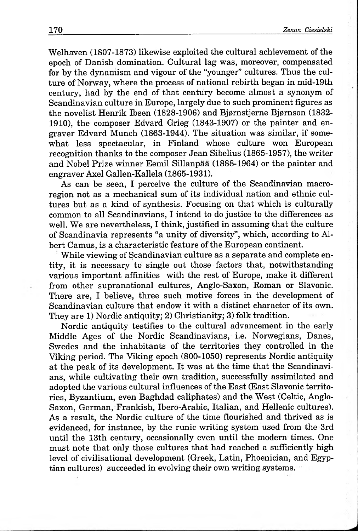Welhaven (1807-1873) likewise exploited the cultural achievement of the epoch of Danish domination. Cultural lag was, moreover, compensated for by the dynamism and vigour of the "younger" cultures. Thus the culture of Norway, where the process of national rebirth began in mid-19th century, had by the end of that century become almost a synonym of Scandinavian culture in Europe, largely due to such prominent figures as the novelist Henrik Ibsen (1828-1906) and Bjørnstjerne Bjørnson (1832-1910), the composer Edvard Grieg (1843-1907) or the painter and engraver Edvard Munch (1863-1944). The situation was similar, if somewhat less spectacular, in Finland whose culture won European recognition thanks to the composer Jean Sibelius (1865-1957), the writer and Nobel Prize winner Eemil Sillanpaa (1888-1964) or the painter and engraver Axel Gallen-Kallela (1865-1931).

As can be seen, I perceive the culture of the Scandinavian macroregion not as a mechanical sum of its individual nation and ethnic cultures but as a kind of synthesis. Focusing on that which is culturally common to all Scandinavians, I intend to do justice to the differences as well. We are nevertheless, I think, justified in assuming that the culture of Scandinavia represents "a unity of diversity", which, according to Albert Camus, is a characteristic feature of the European continent.

While viewing of Scandinavian culture as a separate and complete entity, it is necessary to single out those factors that, notwithstanding various important affinities with the rest of Europe, make it different from other supranational cultures, Anglo-Saxon, Roman or Slavonic. There are, I believe, three such motive forces in the development of Scandinavian culture that endow it with a distinct character of its own. They are 1) Nordic antiquity; 2) Christianity; 3) folk tradition.

Nordic antiquity testifies to the cultural advancement in the early Middle Ages of the Nordic Scandinavians, i.e. Norwegians, Danes, Swedes and the inhabitants of the territories they controlled in the Viking period. The Viking epoch (800-1050) represents Nordic antiquity at the peak of its development. It was at the time that the Scandinavians, while cultivating their own tradition, successfully assimilated and adopted the various cultural influences of the East (East Slavonic territories, Byzantium, even Baghdad caliphates) and the West (Celtic, Anglo-Saxon, German, Frankish, Ibero-Arabic, Italian, and Hellenic cultures). As a result, the Nordic culture of the time flourished and thrived as is evidenced, for instance, by the runic writing system used from the 3rd until the 13th century, occasionally even until the modern times. One must note that only those cultures that had reached a sufficiently high level of civilisational development (Greek, Latin, Phoenician, and Egyptian cultures) succeeded in evolving their own writing systems.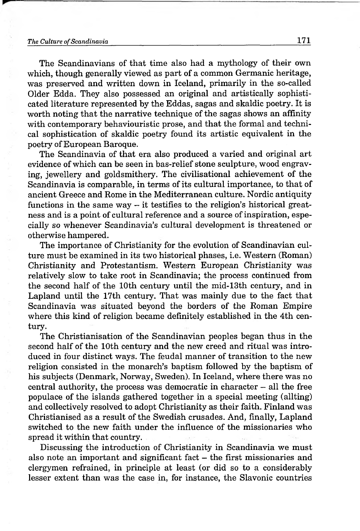The Scandinavians of that time also had a mythology of their own which, though generally viewed as part of a common Germanic heritage, was preserved and written down in Iceland, primarily in the so-called Older Edda. They also possessed an original and artistically sophisticated literature represented by the Eddas, sagas and skaldic poetry. It is worth noting that the narrative technique of the sagas shows an affinity with contemporary behaviouristic prose, and that the formal and technical sophistication of skaldic poetry found its artistic equivalent in the poetry of European Baroque.

The Scandinavia of that era also produced a varied and original art evidence of which can be seen in bas-relief stone sculpture, wood engraving, jewellery and goldsmithery. The civilisational achievement of the Scandinavia is comparable, in terms of its cultural importance, to that of ancient Greece and Rome in the Mediterranean culture. Nordic antiquity functions in the same way  $-$  it testifies to the religion's historical greatness and is a point of cultural reference and a source of inspiration, especially so whenever Scandinavia's cultural development is threatened or otherwise hampered.

The importance of Christianity for the evolution of Scandinavian culture must be examined in its two historical phases, i.e. Western (Roman) Christianity and Protestantism. Western European Christianity was relatively slow to take root in Scandinavia; the process continued from the second half of the 10th century until the mid-13th century, and in Lapland until the 17th century. That was mainly due to the fact that Scandinavia was situated beyond the borders of the Roman Empire where this kind of religion became definitely established in the 4th century.

The Christianisation of the Scandinavian peoples began thus in the second half of the 10th century and the new creed and ritual was introduced in four distinct ways. The feudal manner of transition to the new religion consisted in the monarch's baptism followed by the baptism of his subjects (Denmark, Norway, Sweden). In Iceland, where there was no  $\alpha$  central authority, the process was democratic in character  $-$  all the free populace of the islands gathered together in a special meeting (allting) and collectively resolved to adopt Christianity as their faith. Finland was Christianised as a result of the Swedish crusades. And, finally, Lapland switched to the new faith under the influence of the missionaries who spread it within that country.

Discussing the introduction of Christianity in Scandinavia we must also note an important and significant fact  $-$  the first missionaries and clergymen refrained, in principle at least (or did so to a considerably lesser extent than was the case in, for instance, the Slavonic countries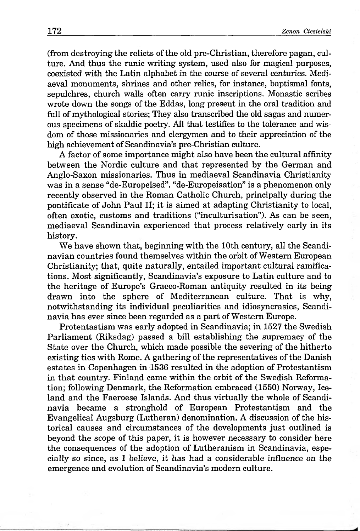(from destroying the relicts of the old pre-Christian, therefore pagan, culture. And thus the runic writing system, used also for magical purposes, coexisted with the Latin alphabet in the course of several centuries. Mediaeval monuments, shrines and other relics, for instance, baptismal fonts, sepulchres, church walls often carry runic inscriptions. Monastic scribes wrote down the songs of the Eddas, long present in the oral tradition and full of mythological stories; They also transcribed the old sagas and numerous specimens of skaldic poetry. All that testifies to the tolerance and wisdom of those missionaries and clergymen and to their appreciation of the high achievement of Scandinavia's pre-Christian culture.

A factor of some importance might also have been the cultural affinity between the Nordic culture and that represented by the German and Anglo-Saxon missionaries. Thus in mediaeval Scandinavia Christianity was in a sense "de-Europeised". "de-Europeisation" is a phenomenon only recently observed in the Roman Catholic Church, principally during the pontificate of John Paul II; it is aimed at adapting Christianity to local, often exotic, customs and traditions ("inculturisation"). As can be seen, mediaeval Scandinavia experienced that process relatively early in its history.

We have shown that, beginning with the 10th century, all the Scandinavian countries found themselves within the orbit of Western European Christianity; that, quite naturally, entailed important cultural ramifications. Most significantly, Scandinavia's exposure to Latin culture and to the heritage of Europe's Graeco-Roman antiquity resulted in its being drawn into the sphere of Mediterranean culture. That is why, notwithstanding its individual peculiarities and idiosyncrasies, Scandinavia has ever since been regarded as a part of Western Europe.

Protentastism was early adopted in Scandinavia; in 1527 the Swedish Parliament (Riksdag) passed a bill establishing the supremacy of the State over the Church, which made possible the severing of the hitherto existing ties with Rome. A gathering of the representatives of the Danish estates in Copenhagen in 1536 resulted in the adoption of Protestantism in that country. Finland came within the orbit of the Swedish Reformation; following Denmark, the Reformation embraced (1550) Norway, Iceland and the Faeroese Islands. And thus virtually the whole of Scandinavia became a stronghold of European Protestantism and the Evangelical Augsburg (Lutheran) denomination. A discussion of the historical causes and circumstances of the developments just outlined is beyond the scope of this paper, it is however necessary to consider here the consequences of the adoption of Lutheranism in Scandinavia, especially so since, as I believe, it has had a considerable influence on the emergence and evolution of Scandinavia's modern culture.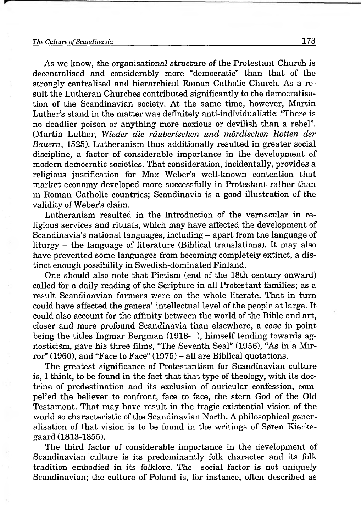*As* we know, the organisational structure of the Protestant Church is decentralised and considerably more "democratic" than that of the strongly centralised and hierarchical Roman Catholic Church. As a result the Lutheran Churches contributed significantly to the démocratisation of the Scandinavian society. At the same time, however, Martin Luther's stand in the matter was definitely anti-individualistic: "There is no deadlier poison or anything more noxious or devilish than a rebel". (Martin Luther, *Wieder die räuberischen und mördischen Rotten der Bauern*, 1525). Lutheranism thus additionally resulted in greater social discipline, a factor of considerable importance in the development of modern democratic societies. That consideration, incidentally, provides a religious justification for Max Weber's well-known contention that market economy developed more successfully in Protestant rather than in Roman Catholic countries; Scandinavia is a good illustration of the validity of Weber's claim.

Lutheranism resulted in the introduction of the vernacular in religious services and rituals, which may have affected the development of Scandinavia's national languages, including – apart from the language of liturgy - the language of literature (Biblical translations). It may also have prevented some languages from becoming completely extinct, a distinct enough possibility in Swedish-dominated Finland.

One should also note that Pietism (end of the 18th century onward) called for a daily reading of the Scripture in all Protestant families; as a result Scandinavian farmers were on the whole literate. That in turn could have affected the general intellectual level of the people at large. It could also account for the affinity between the world of the Bible and art, closer and more profound Scandinavia than elsewhere, a case in point being the titles Ingmar Bergman (1918- ), himself tending towards agnosticism, gave his three films, "The Seventh Seal" (1956), "As in a Mirror" (1960), and "Face to Face" (1975) – all are Biblical quotations.

The greatest significance of Protestantism for Scandinavian culture is, I think, to be found in the fact that that type of theology, with its doctrine of predestination and its exclusion of auricular confession, compelled the believer to confront, face to face, the stem God of the Old Testament. That may have result in the tragic existential vision of the world so characteristic of the Scandinavian North. A philosophical generalisation of that vision is to be found in the writings of Søren Kierkegaard (1813-1855).

The third factor of considerable importance in the development of Scandinavian culture is its predominantly folk character and its folk tradition embodied in its folklore. The social factor is not uniquely Scandinavian; the culture of Poland is, for instance, often described as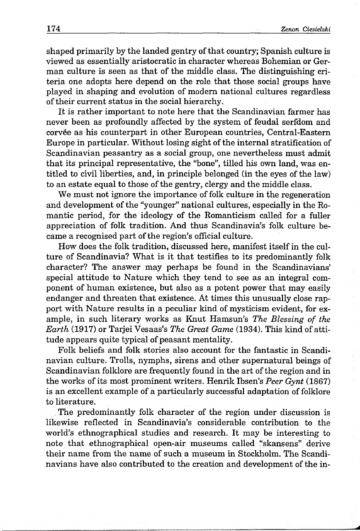shaped primarily by the landed gentry of that country; Spanish culture is viewed as essentially aristocratic in character whereas Bohemian or German culture is seen as that of the middle class. The distinguishing criteria one adopts here depend on the role that those social groups have played in shaping and evolution of modem national cultures regardless of their current status in the social hierarchy.

It is rather important to note here that the Scandinavian farmer has never been as profoundly affected by the system of feudal serfdom and corvee as his counterpart in other European countries, Central-Eastern Europe in particular. Without losing sight of the internal stratification of Scandinavian peasantry as a social group, one nevertheless must admit that its principal representative, the "bone", tilled his own land, was entitled to civil liberties, and, in principle belonged (in the eyes of the law) to an estate equal to those of the gentry, clergy and the middle class.

We must not ignore the importance of folk culture in the regeneration and development of the "younger" national cultures, especially in the Romantic period, for the ideology of the Romanticism called for a fuller appreciation of folk tradition. And thus Scandinavia's folk culture became a recognised part of the region's official culture.

How does the folk tradition, discussed here, manifest itself in the culture of Scandinavia? What is it that testifies to its predominantly folk character? The answer may perhaps be found in the Scandinavians' special attitude to Nature which they tend to see as an integral component of human existence, but also as a potent power that may easily endanger and threaten that existence. At times this unusually close rapport with Nature results in a peculiar kind of mysticism evident, for example, in such literary works as Knut Hamsun's *The Blessing of the Earth* (1917) or Tarjei Vesaas's *The Great Game* (1934). This kind of attitude appears quite typical of peasant mentality.

Folk beliefs and folk stories also account for the fantastic in Scandinavian culture. Trolls, nymphs, sirens and other supernatural beings of Scandinavian folklore are frequently found in the art of the region and in the works of its most prominent writers. Henrik Ibsen's *Peer Gynt* (1867) is an excellent example of a particularly successful adaptation of folklore to literature.

The predominantly folk character of the region under discussion is likewise reflected in Scandinavia's considerable contribution to the world's ethnographical studies and research. It may be interesting to note that ethnographical open-air museums called "skansens" derive their name from the name of such a museum in Stockholm. The Scandinavians have also contributed to the creation and development of the in